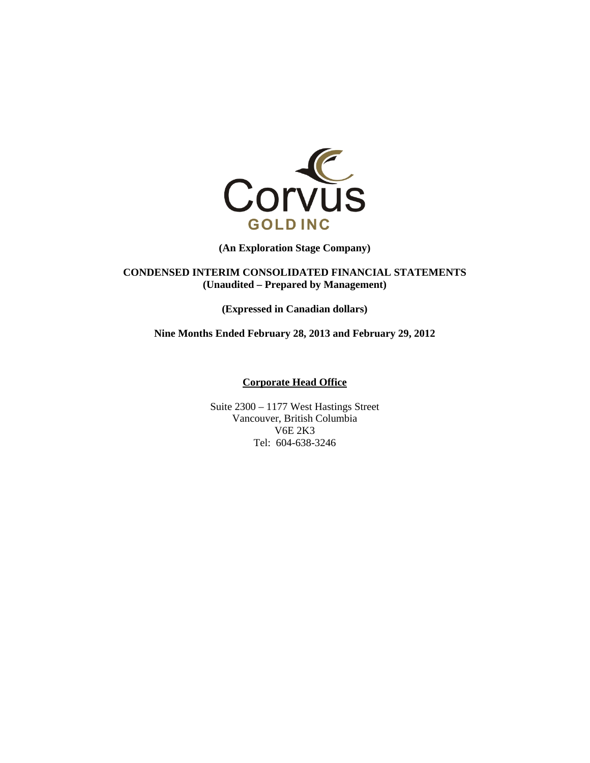

**(An Exploration Stage Company)** 

**CONDENSED INTERIM CONSOLIDATED FINANCIAL STATEMENTS (Unaudited – Prepared by Management)** 

**(Expressed in Canadian dollars)** 

**Nine Months Ended February 28, 2013 and February 29, 2012** 

**Corporate Head Office** 

Suite 2300 – 1177 West Hastings Street Vancouver, British Columbia V6E 2K3 Tel: 604-638-3246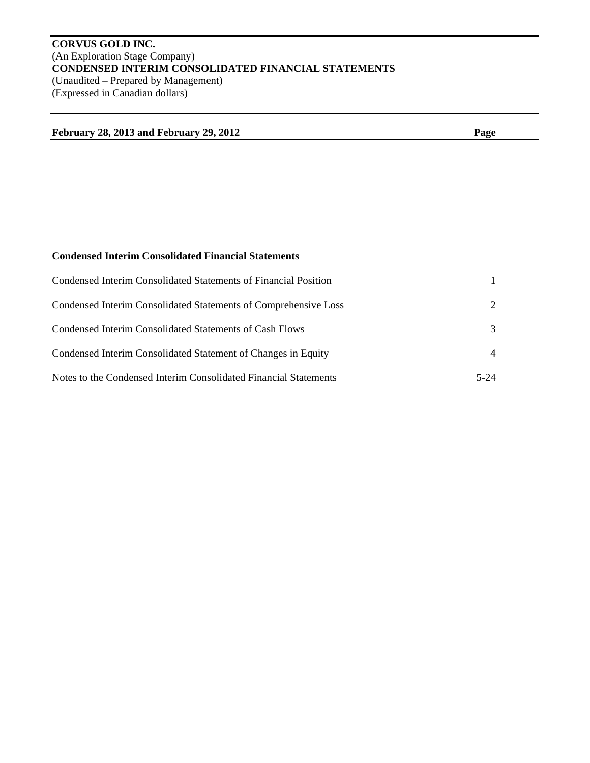# **CORVUS GOLD INC.**  (An Exploration Stage Company) **CONDENSED INTERIM CONSOLIDATED FINANCIAL STATEMENTS**  (Unaudited – Prepared by Management) (Expressed in Canadian dollars)

| <b>February 28, 2013 and February 29, 2012</b> | Page |
|------------------------------------------------|------|
|                                                |      |

# **Condensed Interim Consolidated Financial Statements**

| Condensed Interim Consolidated Statements of Financial Position  |                             |
|------------------------------------------------------------------|-----------------------------|
| Condensed Interim Consolidated Statements of Comprehensive Loss  | $\mathcal{D}_{\mathcal{L}}$ |
| Condensed Interim Consolidated Statements of Cash Flows          | $\mathcal{F}$               |
| Condensed Interim Consolidated Statement of Changes in Equity    | 4                           |
| Notes to the Condensed Interim Consolidated Financial Statements | 5-24                        |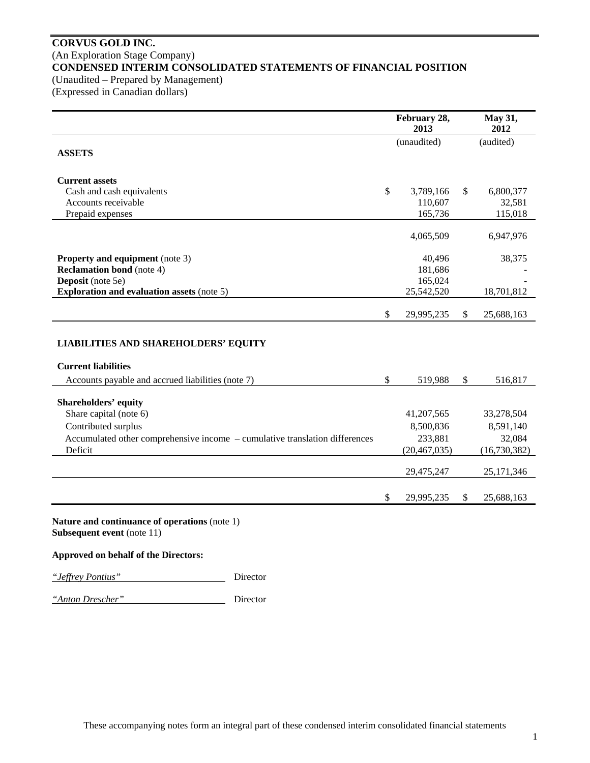### **CORVUS GOLD INC.**  (An Exploration Stage Company) **CONDENSED INTERIM CONSOLIDATED STATEMENTS OF FINANCIAL POSITION**  (Unaudited – Prepared by Management)

(Expressed in Canadian dollars)

|                                                                                                                                |              | February 28,<br>2013 | May 31,<br>2012  |
|--------------------------------------------------------------------------------------------------------------------------------|--------------|----------------------|------------------|
| <b>ASSETS</b>                                                                                                                  |              | (unaudited)          | (audited)        |
| <b>Current assets</b>                                                                                                          |              |                      |                  |
| Cash and cash equivalents                                                                                                      | \$           | 3,789,166            | \$<br>6,800,377  |
| Accounts receivable                                                                                                            |              | 110,607              | 32,581           |
| Prepaid expenses                                                                                                               |              | 165,736              | 115,018          |
|                                                                                                                                |              | 4,065,509            | 6,947,976        |
| <b>Property and equipment</b> (note 3)                                                                                         |              | 40,496               | 38,375           |
| <b>Reclamation bond</b> (note 4)                                                                                               |              | 181,686              |                  |
| Deposit (note 5e)                                                                                                              |              | 165,024              |                  |
| <b>Exploration and evaluation assets (note 5)</b>                                                                              |              | 25,542,520           | 18,701,812       |
|                                                                                                                                | \$           | 29,995,235           | \$<br>25,688,163 |
| <b>LIABILITIES AND SHAREHOLDERS' EQUITY</b><br><b>Current liabilities</b><br>Accounts payable and accrued liabilities (note 7) | $\mathbb{S}$ | 519,988              | \$<br>516,817    |
| <b>Shareholders' equity</b>                                                                                                    |              |                      |                  |
| Share capital (note 6)                                                                                                         |              | 41,207,565           | 33,278,504       |
| Contributed surplus                                                                                                            |              | 8,500,836            | 8,591,140        |
| Accumulated other comprehensive income - cumulative translation differences                                                    |              | 233,881              | 32,084           |
| Deficit                                                                                                                        |              | (20, 467, 035)       | (16, 730, 382)   |
|                                                                                                                                |              |                      |                  |
|                                                                                                                                |              | 29,475,247           | 25,171,346       |
|                                                                                                                                | \$           | 29,995,235           | \$<br>25,688,163 |
| Nature and continuance of operations (note 1)                                                                                  |              |                      |                  |

**Subsequent event** (note 11)

### **Approved on behalf of the Directors:**

*"Jeffrey Pontius"* Director

*"Anton Drescher"* Director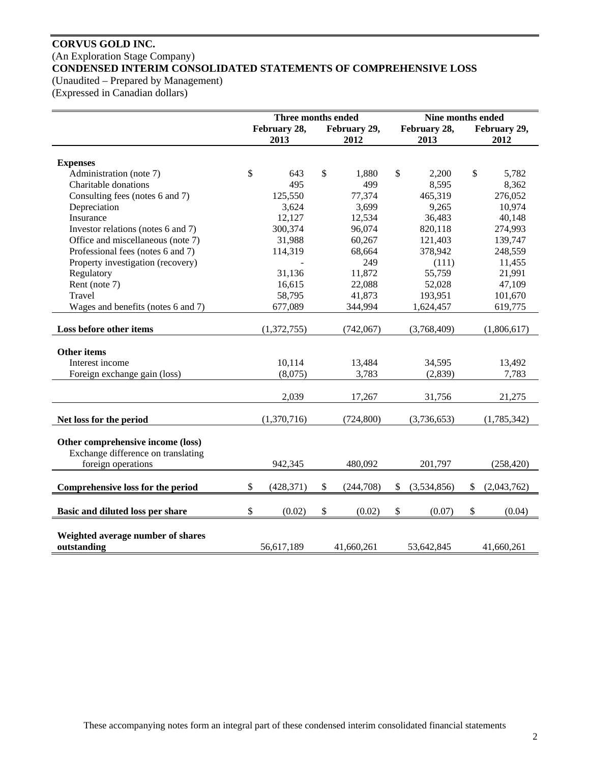# **CORVUS GOLD INC.**  (An Exploration Stage Company) **CONDENSED INTERIM CONSOLIDATED STATEMENTS OF COMPREHENSIVE LOSS**

(Unaudited – Prepared by Management)

(Expressed in Canadian dollars)

|                                    | Three months ended |              |               |              | Nine months ended |                   |
|------------------------------------|--------------------|--------------|---------------|--------------|-------------------|-------------------|
|                                    |                    | February 28, |               | February 29, | February 28,      | February 29,      |
|                                    |                    | 2013         |               | 2012         | 2013              | 2012              |
|                                    |                    |              |               |              |                   |                   |
| <b>Expenses</b>                    |                    |              |               |              |                   |                   |
| Administration (note 7)            | \$                 | 643          | $\mathcal{S}$ | 1,880        | \$<br>2,200       | \$<br>5,782       |
| Charitable donations               |                    | 495          |               | 499          | 8,595             | 8,362             |
| Consulting fees (notes 6 and 7)    |                    | 125,550      |               | 77,374       | 465,319           | 276,052           |
| Depreciation                       |                    | 3,624        |               | 3,699        | 9,265             | 10,974            |
| Insurance                          |                    | 12,127       |               | 12,534       | 36,483            | 40,148            |
| Investor relations (notes 6 and 7) |                    | 300,374      |               | 96,074       | 820,118           | 274,993           |
| Office and miscellaneous (note 7)  |                    | 31,988       |               | 60,267       | 121,403           | 139,747           |
| Professional fees (notes 6 and 7)  |                    | 114,319      |               | 68,664       | 378,942           | 248,559           |
| Property investigation (recovery)  |                    |              |               | 249          | (111)             | 11,455            |
| Regulatory                         |                    | 31,136       |               | 11,872       | 55,759            | 21,991            |
| Rent (note 7)                      |                    | 16,615       |               | 22,088       | 52,028            | 47,109            |
| Travel                             |                    | 58,795       |               | 41,873       | 193,951           | 101,670           |
| Wages and benefits (notes 6 and 7) |                    | 677,089      |               | 344,994      | 1,624,457         | 619,775           |
|                                    |                    |              |               |              |                   |                   |
| Loss before other items            |                    | (1,372,755)  |               | (742,067)    | (3,768,409)       | (1,806,617)       |
|                                    |                    |              |               |              |                   |                   |
| <b>Other items</b>                 |                    |              |               |              |                   |                   |
| Interest income                    |                    | 10,114       |               | 13,484       | 34,595            | 13,492            |
| Foreign exchange gain (loss)       |                    | (8,075)      |               | 3,783        | (2,839)           | 7,783             |
|                                    |                    |              |               |              |                   |                   |
|                                    |                    | 2,039        |               | 17,267       | 31,756            | 21,275            |
| Net loss for the period            |                    | (1,370,716)  |               | (724, 800)   | (3,736,653)       | (1,785,342)       |
|                                    |                    |              |               |              |                   |                   |
| Other comprehensive income (loss)  |                    |              |               |              |                   |                   |
| Exchange difference on translating |                    |              |               |              |                   |                   |
| foreign operations                 |                    | 942,345      |               | 480,092      | 201,797           | (258, 420)        |
|                                    |                    |              |               |              |                   |                   |
| Comprehensive loss for the period  | \$                 | (428, 371)   | \$            | (244,708)    | \$<br>(3,534,856) | \$<br>(2,043,762) |
|                                    |                    |              |               |              |                   |                   |
| Basic and diluted loss per share   | \$                 | (0.02)       | $\mathcal{S}$ | (0.02)       | \$<br>(0.07)      | \$<br>(0.04)      |
|                                    |                    |              |               |              |                   |                   |
| Weighted average number of shares  |                    |              |               |              |                   |                   |
| outstanding                        |                    | 56,617,189   |               | 41,660,261   | 53,642,845        | 41,660,261        |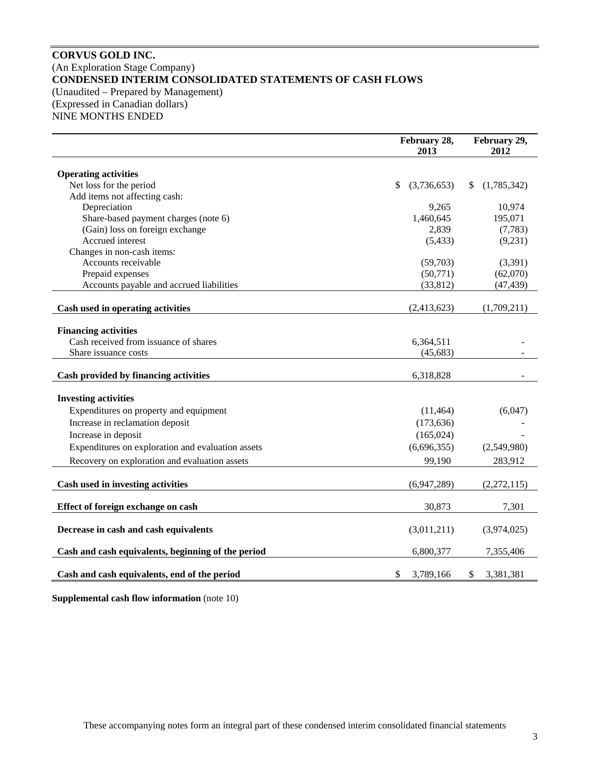### **CORVUS GOLD INC.**  (An Exploration Stage Company) **CONDENSED INTERIM CONSOLIDATED STATEMENTS OF CASH FLOWS**  (Unaudited – Prepared by Management) (Expressed in Canadian dollars) NINE MONTHS ENDED

**February 28, 2013 February 29, 2012 Operating activities**  Net loss for the period  $\frac{1}{3}$  (3,736,653) \$ (1,785,342) Add items not affecting cash: Depreciation 9,265 10,974 Share-based payment charges (note 6) 1,460,645 195,071 (Gain) loss on foreign exchange 2,839 (7,783) Accrued interest (5,433) (9,231) Changes in non-cash items: Accounts receivable (59,703) (3,391) Prepaid expenses  $(50,771)$   $(62,070)$ Accounts payable and accrued liabilities (33,812) (47,439) **Cash used in operating activities** (2,413,623) (1,709,211) **Financing activities**  Cash received from issuance of shares 6,364,511 Share issuance costs (45,683) **Cash provided by financing activities** 6,318,828  $-$ **Investing activities**  Expenditures on property and equipment (11,464) (6,047) Increase in reclamation deposit (173,636) Increase in deposit  $(165,024)$  Expenditures on exploration and evaluation assets (6,696,355) (2,549,980) Recovery on exploration and evaluation assets 99,190 283,912 **Cash used in investing activities** (6,947,289) (2,272,115) **Effect of foreign exchange on cash** 30,873 7,301 **Decrease in cash and cash equivalents** (3,011,211) (3,974,025) **Cash and cash equivalents, beginning of the period** 6,800,377 7,355,406 **Cash and cash equivalents, end of the period** \$ 3,789,166 \$ 3,381,381

**Supplemental cash flow information** (note 10)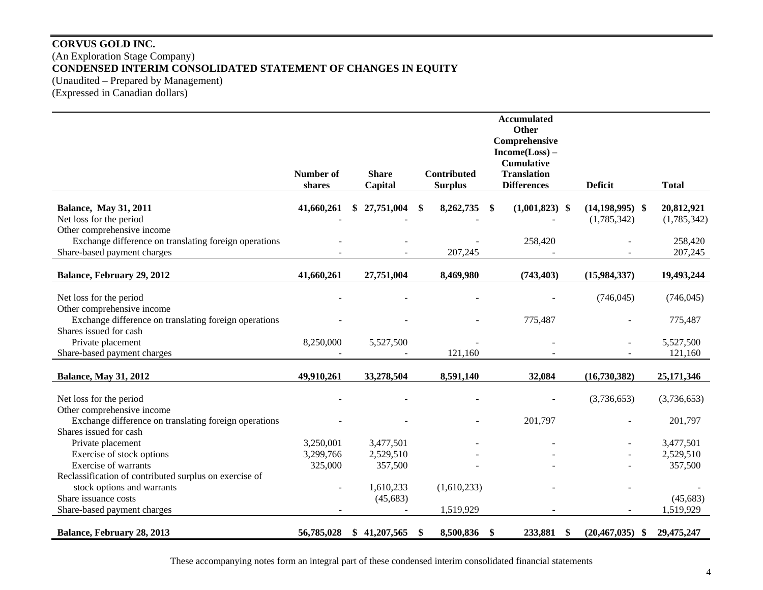## **CORVUS GOLD INC.**  (An Exploration Stage Company) **CONDENSED INTERIM CONSOLIDATED STATEMENT OF CHANGES IN EQUITY**  (Unaudited – Prepared by Management) (Expressed in Canadian dollars)

|                                                        |                  |                  |                    | <b>Accumulated</b><br><b>Other</b>            |                            |              |
|--------------------------------------------------------|------------------|------------------|--------------------|-----------------------------------------------|----------------------------|--------------|
|                                                        |                  |                  |                    | Comprehensive<br>$Income(Loss) -$             |                            |              |
|                                                        |                  |                  |                    | <b>Cumulative</b>                             |                            |              |
|                                                        | <b>Number of</b> | <b>Share</b>     | <b>Contributed</b> | <b>Translation</b>                            |                            |              |
|                                                        | shares           | Capital          | <b>Surplus</b>     | <b>Differences</b>                            | <b>Deficit</b>             | <b>Total</b> |
| <b>Balance, May 31, 2011</b>                           | 41,660,261       | 27,751,004<br>S. | 8,262,735<br>\$    | $(1,001,823)$ \$<br>$\boldsymbol{\mathsf{s}}$ | $(14, 198, 995)$ \$        | 20,812,921   |
| Net loss for the period                                |                  |                  |                    |                                               | (1,785,342)                | (1,785,342)  |
| Other comprehensive income                             |                  |                  |                    |                                               |                            |              |
| Exchange difference on translating foreign operations  |                  |                  |                    | 258,420                                       |                            | 258,420      |
| Share-based payment charges                            |                  |                  | 207,245            |                                               |                            | 207,245      |
| Balance, February 29, 2012                             | 41,660,261       | 27,751,004       | 8,469,980          | (743, 403)                                    | (15,984,337)               | 19,493,244   |
|                                                        |                  |                  |                    |                                               |                            |              |
| Net loss for the period                                |                  |                  |                    |                                               | (746, 045)                 | (746, 045)   |
| Other comprehensive income                             |                  |                  |                    |                                               |                            |              |
| Exchange difference on translating foreign operations  |                  |                  |                    | 775,487                                       |                            | 775,487      |
| Shares issued for cash                                 |                  |                  |                    |                                               |                            |              |
| Private placement                                      | 8,250,000        | 5,527,500        |                    |                                               |                            | 5,527,500    |
| Share-based payment charges                            |                  |                  | 121,160            |                                               |                            | 121,160      |
|                                                        |                  |                  |                    |                                               |                            |              |
| <b>Balance, May 31, 2012</b>                           | 49,910,261       | 33,278,504       | 8,591,140          | 32,084                                        | (16,730,382)               | 25,171,346   |
| Net loss for the period                                |                  |                  |                    |                                               | (3,736,653)                | (3,736,653)  |
| Other comprehensive income                             |                  |                  |                    |                                               |                            |              |
| Exchange difference on translating foreign operations  |                  |                  |                    | 201,797                                       |                            | 201,797      |
| Shares issued for cash                                 |                  |                  |                    |                                               |                            |              |
| Private placement                                      | 3,250,001        | 3,477,501        |                    |                                               |                            | 3,477,501    |
| Exercise of stock options                              | 3,299,766        | 2,529,510        |                    |                                               |                            | 2,529,510    |
| <b>Exercise of warrants</b>                            | 325,000          | 357,500          |                    |                                               |                            | 357,500      |
| Reclassification of contributed surplus on exercise of |                  |                  |                    |                                               |                            |              |
| stock options and warrants                             |                  | 1,610,233        | (1,610,233)        |                                               |                            |              |
| Share issuance costs                                   |                  | (45, 683)        |                    |                                               |                            | (45, 683)    |
| Share-based payment charges                            |                  |                  | 1,519,929          |                                               |                            | 1,519,929    |
|                                                        |                  |                  |                    |                                               |                            |              |
| Balance, February 28, 2013                             | 56,785,028       | 41,207,565<br>S. | 8,500,836 \$<br>-S | 233,881                                       | (20, 467, 035)<br>\$<br>-S | 29,475,247   |

These accompanying notes form an integral part of these condensed interim consolidated financial statements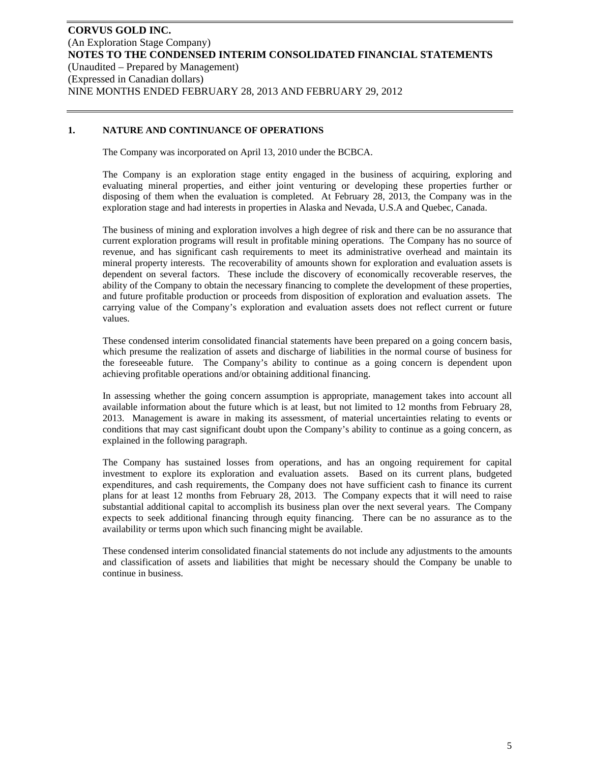### **1. NATURE AND CONTINUANCE OF OPERATIONS**

The Company was incorporated on April 13, 2010 under the BCBCA.

The Company is an exploration stage entity engaged in the business of acquiring, exploring and evaluating mineral properties, and either joint venturing or developing these properties further or disposing of them when the evaluation is completed. At February 28, 2013, the Company was in the exploration stage and had interests in properties in Alaska and Nevada, U.S.A and Quebec, Canada.

The business of mining and exploration involves a high degree of risk and there can be no assurance that current exploration programs will result in profitable mining operations. The Company has no source of revenue, and has significant cash requirements to meet its administrative overhead and maintain its mineral property interests. The recoverability of amounts shown for exploration and evaluation assets is dependent on several factors. These include the discovery of economically recoverable reserves, the ability of the Company to obtain the necessary financing to complete the development of these properties, and future profitable production or proceeds from disposition of exploration and evaluation assets. The carrying value of the Company's exploration and evaluation assets does not reflect current or future values.

These condensed interim consolidated financial statements have been prepared on a going concern basis, which presume the realization of assets and discharge of liabilities in the normal course of business for the foreseeable future. The Company's ability to continue as a going concern is dependent upon achieving profitable operations and/or obtaining additional financing.

In assessing whether the going concern assumption is appropriate, management takes into account all available information about the future which is at least, but not limited to 12 months from February 28, 2013. Management is aware in making its assessment, of material uncertainties relating to events or conditions that may cast significant doubt upon the Company's ability to continue as a going concern, as explained in the following paragraph.

The Company has sustained losses from operations, and has an ongoing requirement for capital investment to explore its exploration and evaluation assets. Based on its current plans, budgeted expenditures, and cash requirements, the Company does not have sufficient cash to finance its current plans for at least 12 months from February 28, 2013. The Company expects that it will need to raise substantial additional capital to accomplish its business plan over the next several years. The Company expects to seek additional financing through equity financing. There can be no assurance as to the availability or terms upon which such financing might be available.

These condensed interim consolidated financial statements do not include any adjustments to the amounts and classification of assets and liabilities that might be necessary should the Company be unable to continue in business.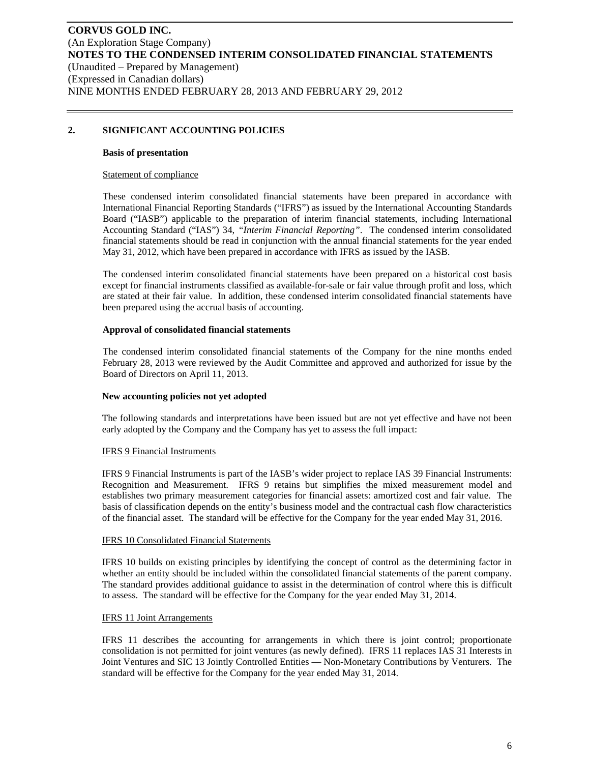## **2. SIGNIFICANT ACCOUNTING POLICIES**

#### **Basis of presentation**

#### Statement of compliance

These condensed interim consolidated financial statements have been prepared in accordance with International Financial Reporting Standards ("IFRS") as issued by the International Accounting Standards Board ("IASB") applicable to the preparation of interim financial statements, including International Accounting Standard ("IAS") 34, *"Interim Financial Reporting"*. The condensed interim consolidated financial statements should be read in conjunction with the annual financial statements for the year ended May 31, 2012, which have been prepared in accordance with IFRS as issued by the IASB.

The condensed interim consolidated financial statements have been prepared on a historical cost basis except for financial instruments classified as available-for-sale or fair value through profit and loss, which are stated at their fair value. In addition, these condensed interim consolidated financial statements have been prepared using the accrual basis of accounting.

### **Approval of consolidated financial statements**

The condensed interim consolidated financial statements of the Company for the nine months ended February 28, 2013 were reviewed by the Audit Committee and approved and authorized for issue by the Board of Directors on April 11, 2013.

### **New accounting policies not yet adopted**

The following standards and interpretations have been issued but are not yet effective and have not been early adopted by the Company and the Company has yet to assess the full impact:

### IFRS 9 Financial Instruments

IFRS 9 Financial Instruments is part of the IASB's wider project to replace IAS 39 Financial Instruments: Recognition and Measurement. IFRS 9 retains but simplifies the mixed measurement model and establishes two primary measurement categories for financial assets: amortized cost and fair value. The basis of classification depends on the entity's business model and the contractual cash flow characteristics of the financial asset. The standard will be effective for the Company for the year ended May 31, 2016.

#### IFRS 10 Consolidated Financial Statements

IFRS 10 builds on existing principles by identifying the concept of control as the determining factor in whether an entity should be included within the consolidated financial statements of the parent company. The standard provides additional guidance to assist in the determination of control where this is difficult to assess. The standard will be effective for the Company for the year ended May 31, 2014.

### IFRS 11 Joint Arrangements

IFRS 11 describes the accounting for arrangements in which there is joint control; proportionate consolidation is not permitted for joint ventures (as newly defined). IFRS 11 replaces IAS 31 Interests in Joint Ventures and SIC 13 Jointly Controlled Entities — Non-Monetary Contributions by Venturers. The standard will be effective for the Company for the year ended May 31, 2014.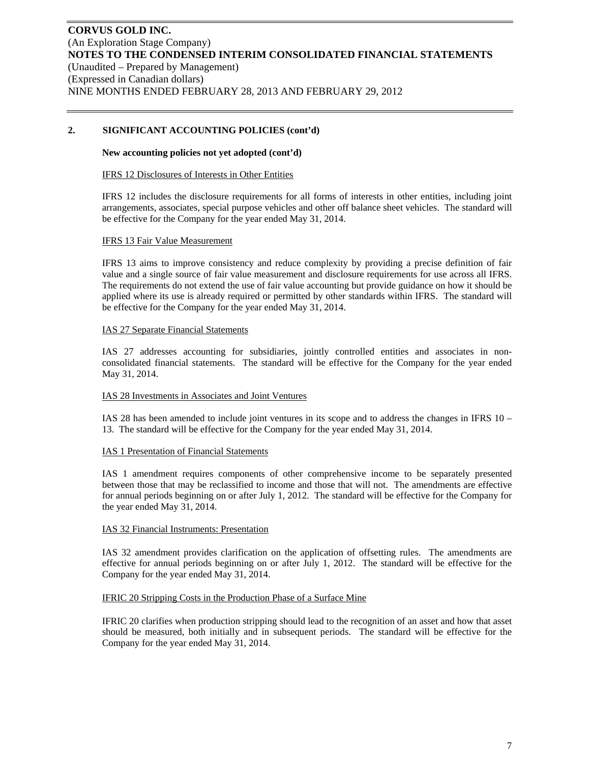### **2. SIGNIFICANT ACCOUNTING POLICIES (cont'd)**

#### **New accounting policies not yet adopted (cont'd)**

#### IFRS 12 Disclosures of Interests in Other Entities

IFRS 12 includes the disclosure requirements for all forms of interests in other entities, including joint arrangements, associates, special purpose vehicles and other off balance sheet vehicles. The standard will be effective for the Company for the year ended May 31, 2014.

#### IFRS 13 Fair Value Measurement

IFRS 13 aims to improve consistency and reduce complexity by providing a precise definition of fair value and a single source of fair value measurement and disclosure requirements for use across all IFRS. The requirements do not extend the use of fair value accounting but provide guidance on how it should be applied where its use is already required or permitted by other standards within IFRS. The standard will be effective for the Company for the year ended May 31, 2014.

#### IAS 27 Separate Financial Statements

IAS 27 addresses accounting for subsidiaries, jointly controlled entities and associates in nonconsolidated financial statements. The standard will be effective for the Company for the year ended May 31, 2014.

### IAS 28 Investments in Associates and Joint Ventures

IAS 28 has been amended to include joint ventures in its scope and to address the changes in IFRS 10 – 13. The standard will be effective for the Company for the year ended May 31, 2014.

### IAS 1 Presentation of Financial Statements

IAS 1 amendment requires components of other comprehensive income to be separately presented between those that may be reclassified to income and those that will not. The amendments are effective for annual periods beginning on or after July 1, 2012. The standard will be effective for the Company for the year ended May 31, 2014.

### IAS 32 Financial Instruments: Presentation

IAS 32 amendment provides clarification on the application of offsetting rules. The amendments are effective for annual periods beginning on or after July 1, 2012. The standard will be effective for the Company for the year ended May 31, 2014.

#### IFRIC 20 Stripping Costs in the Production Phase of a Surface Mine

IFRIC 20 clarifies when production stripping should lead to the recognition of an asset and how that asset should be measured, both initially and in subsequent periods. The standard will be effective for the Company for the year ended May 31, 2014.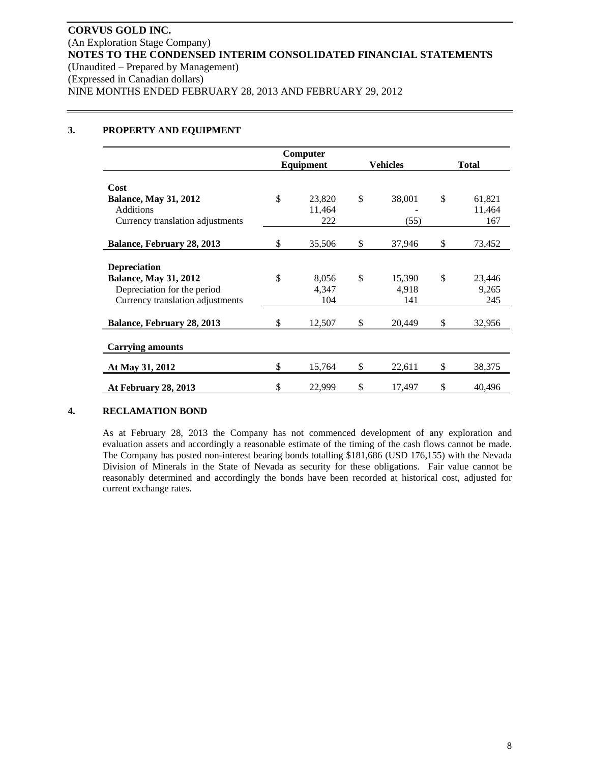### **3. PROPERTY AND EQUIPMENT**

|                                  |           | Computer |                 |              |        |  |
|----------------------------------|-----------|----------|-----------------|--------------|--------|--|
|                                  | Equipment |          | <b>Vehicles</b> | <b>Total</b> |        |  |
|                                  |           |          |                 |              |        |  |
| Cost                             |           |          |                 |              |        |  |
| <b>Balance, May 31, 2012</b>     | \$        | 23,820   | \$<br>38,001    | \$           | 61,821 |  |
| <b>Additions</b>                 |           | 11,464   |                 |              | 11,464 |  |
| Currency translation adjustments |           | 222      | (55)            |              | 167    |  |
|                                  |           |          |                 |              |        |  |
| Balance, February 28, 2013       | \$        | 35,506   | \$<br>37,946    | \$           | 73,452 |  |
|                                  |           |          |                 |              |        |  |
| <b>Depreciation</b>              |           |          |                 |              |        |  |
| <b>Balance, May 31, 2012</b>     | \$        | 8,056    | \$<br>15,390    | \$           | 23,446 |  |
| Depreciation for the period      |           | 4,347    | 4,918           |              | 9,265  |  |
| Currency translation adjustments |           | 104      | 141             |              | 245    |  |
|                                  |           |          |                 |              |        |  |
| Balance, February 28, 2013       | \$        | 12,507   | \$<br>20,449    | \$           | 32,956 |  |
|                                  |           |          |                 |              |        |  |
| <b>Carrying amounts</b>          |           |          |                 |              |        |  |
|                                  |           |          |                 |              |        |  |
| At May 31, 2012                  | \$        | 15,764   | \$<br>22,611    | \$           | 38,375 |  |
| At February 28, 2013             | \$        | 22,999   | \$<br>17,497    | \$           | 40,496 |  |

### **4. RECLAMATION BOND**

As at February 28, 2013 the Company has not commenced development of any exploration and evaluation assets and accordingly a reasonable estimate of the timing of the cash flows cannot be made. The Company has posted non-interest bearing bonds totalling \$181,686 (USD 176,155) with the Nevada Division of Minerals in the State of Nevada as security for these obligations. Fair value cannot be reasonably determined and accordingly the bonds have been recorded at historical cost, adjusted for current exchange rates.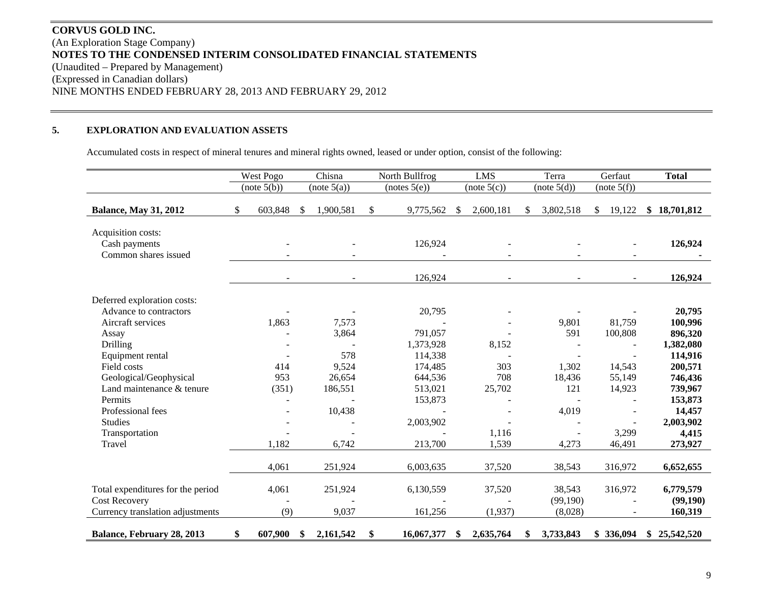# **CORVUS GOLD INC.** (An Exploration Stage Company) **NOTES TO THE CONDENSED INTERIM CONSOLIDATED FINANCIAL STATEMENTS**  (Unaudited – Prepared by Management) (Expressed in Canadian dollars) NINE MONTHS ENDED FEBRUARY 28, 2013 AND FEBRUARY 29, 2012

#### **5.EXPLORATION AND EVALUATION ASSETS**

Accumulated costs in respect of mineral tenures and mineral rights owned, leased or under option, consist of the following:

|                                                             | Chisna<br>West Pogo |                          | North Bullfrog | <b>LMS</b>     | Terra            |                 |     | Gerfaut     | <b>Total</b>  |                          |              |
|-------------------------------------------------------------|---------------------|--------------------------|----------------|----------------|------------------|-----------------|-----|-------------|---------------|--------------------------|--------------|
|                                                             |                     | (note 5(b))              |                | (note 5(a))    | (notes 5(e))     | (note 5(c))     |     | (note 5(d)) |               | (note 5(f))              |              |
| <b>Balance, May 31, 2012</b>                                | \$                  | 603,848                  | <sup>\$</sup>  | 1,900,581      | \$<br>9,775,562  | \$<br>2,600,181 | \$. | 3,802,518   | <sup>\$</sup> | 19,122                   | \$18,701,812 |
| Acquisition costs:<br>Cash payments<br>Common shares issued |                     |                          |                |                | 126,924          |                 |     |             |               |                          | 126,924      |
|                                                             |                     | $\overline{\phantom{a}}$ |                | $\blacksquare$ | 126,924          | $\blacksquare$  |     | $\sim$      |               | $\overline{\phantom{a}}$ | 126,924      |
| Deferred exploration costs:                                 |                     |                          |                |                |                  |                 |     |             |               |                          |              |
| Advance to contractors                                      |                     |                          |                |                | 20,795           |                 |     |             |               |                          | 20,795       |
| Aircraft services                                           |                     | 1,863                    |                | 7,573          |                  |                 |     | 9,801       |               | 81,759                   | 100,996      |
| Assay                                                       |                     |                          |                | 3,864          | 791,057          |                 |     | 591         |               | 100,808                  | 896,320      |
| <b>Drilling</b>                                             |                     |                          |                |                | 1,373,928        | 8,152           |     |             |               |                          | 1,382,080    |
| Equipment rental                                            |                     |                          |                | 578            | 114,338          |                 |     |             |               |                          | 114,916      |
| Field costs                                                 |                     | 414                      |                | 9,524          | 174,485          | 303             |     | 1,302       |               | 14,543                   | 200,571      |
| Geological/Geophysical                                      |                     | 953                      |                | 26,654         | 644,536          | 708             |     | 18,436      |               | 55,149                   | 746,436      |
| Land maintenance & tenure                                   |                     | (351)                    |                | 186,551        | 513,021          | 25,702          |     | 121         |               | 14,923                   | 739,967      |
| Permits                                                     |                     |                          |                |                | 153,873          |                 |     |             |               |                          | 153,873      |
| Professional fees                                           |                     |                          |                | 10,438         |                  |                 |     | 4,019       |               |                          | 14,457       |
| <b>Studies</b>                                              |                     |                          |                |                | 2,003,902        |                 |     |             |               |                          | 2,003,902    |
| Transportation                                              |                     |                          |                |                |                  | 1,116           |     |             |               | 3,299                    | 4,415        |
| Travel                                                      |                     | 1,182                    |                | 6,742          | 213,700          | 1,539           |     | 4,273       |               | 46,491                   | 273,927      |
|                                                             |                     | 4,061                    |                | 251,924        | 6,003,635        | 37,520          |     | 38,543      |               | 316,972                  | 6,652,655    |
|                                                             |                     |                          |                |                |                  |                 |     |             |               |                          |              |
| Total expenditures for the period                           |                     | 4,061                    |                | 251,924        | 6,130,559        | 37,520          |     | 38,543      |               | 316,972                  | 6,779,579    |
| <b>Cost Recovery</b>                                        |                     |                          |                |                |                  |                 |     | (99,190)    |               |                          | (99,190)     |
| Currency translation adjustments                            |                     | (9)                      |                | 9,037          | 161,256          | (1,937)         |     | (8,028)     |               |                          | 160,319      |
| <b>Balance, February 28, 2013</b>                           | \$                  | 607,900                  | \$             | 2,161,542      | \$<br>16,067,377 | \$<br>2,635,764 | \$  | 3,733,843   |               | \$336,094                | \$25,542,520 |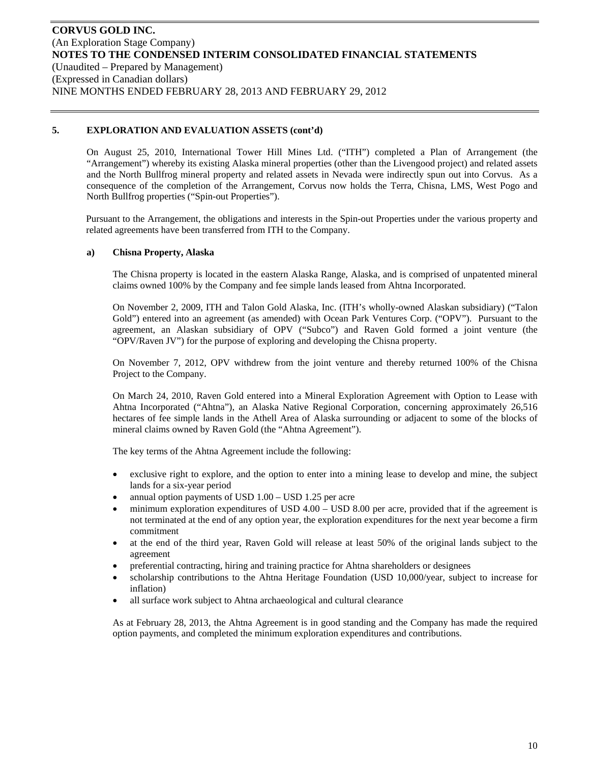On August 25, 2010, International Tower Hill Mines Ltd. ("ITH") completed a Plan of Arrangement (the "Arrangement") whereby its existing Alaska mineral properties (other than the Livengood project) and related assets and the North Bullfrog mineral property and related assets in Nevada were indirectly spun out into Corvus. As a consequence of the completion of the Arrangement, Corvus now holds the Terra, Chisna, LMS, West Pogo and North Bullfrog properties ("Spin-out Properties").

Pursuant to the Arrangement, the obligations and interests in the Spin-out Properties under the various property and related agreements have been transferred from ITH to the Company.

### **a) Chisna Property, Alaska**

The Chisna property is located in the eastern Alaska Range, Alaska, and is comprised of unpatented mineral claims owned 100% by the Company and fee simple lands leased from Ahtna Incorporated.

On November 2, 2009, ITH and Talon Gold Alaska, Inc. (ITH's wholly-owned Alaskan subsidiary) ("Talon Gold") entered into an agreement (as amended) with Ocean Park Ventures Corp. ("OPV"). Pursuant to the agreement, an Alaskan subsidiary of OPV ("Subco") and Raven Gold formed a joint venture (the "OPV/Raven JV") for the purpose of exploring and developing the Chisna property.

On November 7, 2012, OPV withdrew from the joint venture and thereby returned 100% of the Chisna Project to the Company.

On March 24, 2010, Raven Gold entered into a Mineral Exploration Agreement with Option to Lease with Ahtna Incorporated ("Ahtna"), an Alaska Native Regional Corporation, concerning approximately 26,516 hectares of fee simple lands in the Athell Area of Alaska surrounding or adjacent to some of the blocks of mineral claims owned by Raven Gold (the "Ahtna Agreement").

The key terms of the Ahtna Agreement include the following:

- exclusive right to explore, and the option to enter into a mining lease to develop and mine, the subject lands for a six-year period
- annual option payments of USD 1.00 USD 1.25 per acre
- minimum exploration expenditures of USD 4.00 USD 8.00 per acre, provided that if the agreement is not terminated at the end of any option year, the exploration expenditures for the next year become a firm commitment
- at the end of the third year, Raven Gold will release at least 50% of the original lands subject to the agreement
- preferential contracting, hiring and training practice for Ahtna shareholders or designees
- scholarship contributions to the Ahtna Heritage Foundation (USD 10,000/year, subject to increase for inflation)
- all surface work subject to Ahtna archaeological and cultural clearance

As at February 28, 2013, the Ahtna Agreement is in good standing and the Company has made the required option payments, and completed the minimum exploration expenditures and contributions.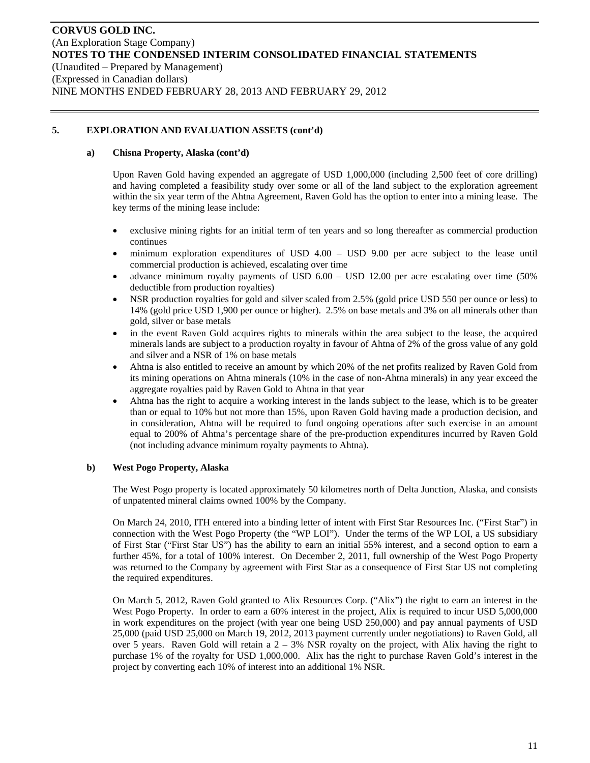### **a) Chisna Property, Alaska (cont'd)**

Upon Raven Gold having expended an aggregate of USD 1,000,000 (including 2,500 feet of core drilling) and having completed a feasibility study over some or all of the land subject to the exploration agreement within the six year term of the Ahtna Agreement, Raven Gold has the option to enter into a mining lease. The key terms of the mining lease include:

- exclusive mining rights for an initial term of ten years and so long thereafter as commercial production continues
- minimum exploration expenditures of USD 4.00 USD 9.00 per acre subject to the lease until commercial production is achieved, escalating over time
- advance minimum royalty payments of USD 6.00 USD 12.00 per acre escalating over time (50% deductible from production royalties)
- NSR production royalties for gold and silver scaled from 2.5% (gold price USD 550 per ounce or less) to 14% (gold price USD 1,900 per ounce or higher). 2.5% on base metals and 3% on all minerals other than gold, silver or base metals
- in the event Raven Gold acquires rights to minerals within the area subject to the lease, the acquired minerals lands are subject to a production royalty in favour of Ahtna of 2% of the gross value of any gold and silver and a NSR of 1% on base metals
- Ahtna is also entitled to receive an amount by which 20% of the net profits realized by Raven Gold from its mining operations on Ahtna minerals (10% in the case of non-Ahtna minerals) in any year exceed the aggregate royalties paid by Raven Gold to Ahtna in that year
- Ahtna has the right to acquire a working interest in the lands subject to the lease, which is to be greater than or equal to 10% but not more than 15%, upon Raven Gold having made a production decision, and in consideration, Ahtna will be required to fund ongoing operations after such exercise in an amount equal to 200% of Ahtna's percentage share of the pre-production expenditures incurred by Raven Gold (not including advance minimum royalty payments to Ahtna).

### **b) West Pogo Property, Alaska**

The West Pogo property is located approximately 50 kilometres north of Delta Junction, Alaska, and consists of unpatented mineral claims owned 100% by the Company.

On March 24, 2010, ITH entered into a binding letter of intent with First Star Resources Inc. ("First Star") in connection with the West Pogo Property (the "WP LOI"). Under the terms of the WP LOI, a US subsidiary of First Star ("First Star US") has the ability to earn an initial 55% interest, and a second option to earn a further 45%, for a total of 100% interest. On December 2, 2011, full ownership of the West Pogo Property was returned to the Company by agreement with First Star as a consequence of First Star US not completing the required expenditures.

On March 5, 2012, Raven Gold granted to Alix Resources Corp. ("Alix") the right to earn an interest in the West Pogo Property. In order to earn a 60% interest in the project, Alix is required to incur USD 5,000,000 in work expenditures on the project (with year one being USD 250,000) and pay annual payments of USD 25,000 (paid USD 25,000 on March 19, 2012, 2013 payment currently under negotiations) to Raven Gold, all over 5 years. Raven Gold will retain a 2 – 3% NSR royalty on the project, with Alix having the right to purchase 1% of the royalty for USD 1,000,000. Alix has the right to purchase Raven Gold's interest in the project by converting each 10% of interest into an additional 1% NSR.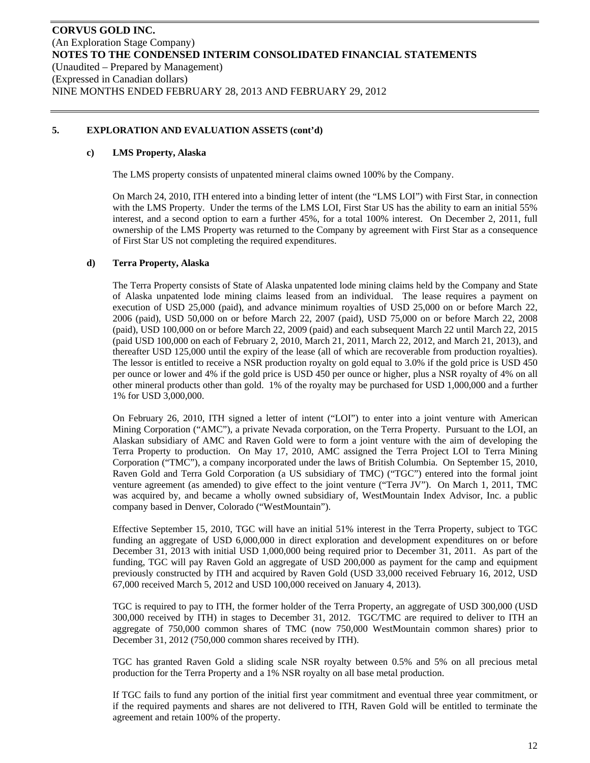#### **c) LMS Property, Alaska**

The LMS property consists of unpatented mineral claims owned 100% by the Company.

On March 24, 2010, ITH entered into a binding letter of intent (the "LMS LOI") with First Star, in connection with the LMS Property. Under the terms of the LMS LOI, First Star US has the ability to earn an initial 55% interest, and a second option to earn a further 45%, for a total 100% interest. On December 2, 2011, full ownership of the LMS Property was returned to the Company by agreement with First Star as a consequence of First Star US not completing the required expenditures.

### **d) Terra Property, Alaska**

The Terra Property consists of State of Alaska unpatented lode mining claims held by the Company and State of Alaska unpatented lode mining claims leased from an individual. The lease requires a payment on execution of USD 25,000 (paid), and advance minimum royalties of USD 25,000 on or before March 22, 2006 (paid), USD 50,000 on or before March 22, 2007 (paid), USD 75,000 on or before March 22, 2008 (paid), USD 100,000 on or before March 22, 2009 (paid) and each subsequent March 22 until March 22, 2015 (paid USD 100,000 on each of February 2, 2010, March 21, 2011, March 22, 2012, and March 21, 2013), and thereafter USD 125,000 until the expiry of the lease (all of which are recoverable from production royalties). The lessor is entitled to receive a NSR production royalty on gold equal to 3.0% if the gold price is USD 450 per ounce or lower and 4% if the gold price is USD 450 per ounce or higher, plus a NSR royalty of 4% on all other mineral products other than gold. 1% of the royalty may be purchased for USD 1,000,000 and a further 1% for USD 3,000,000.

On February 26, 2010, ITH signed a letter of intent ("LOI") to enter into a joint venture with American Mining Corporation ("AMC"), a private Nevada corporation, on the Terra Property. Pursuant to the LOI, an Alaskan subsidiary of AMC and Raven Gold were to form a joint venture with the aim of developing the Terra Property to production. On May 17, 2010, AMC assigned the Terra Project LOI to Terra Mining Corporation ("TMC"), a company incorporated under the laws of British Columbia. On September 15, 2010, Raven Gold and Terra Gold Corporation (a US subsidiary of TMC) ("TGC") entered into the formal joint venture agreement (as amended) to give effect to the joint venture ("Terra JV"). On March 1, 2011, TMC was acquired by, and became a wholly owned subsidiary of, WestMountain Index Advisor, Inc. a public company based in Denver, Colorado ("WestMountain").

Effective September 15, 2010, TGC will have an initial 51% interest in the Terra Property, subject to TGC funding an aggregate of USD 6,000,000 in direct exploration and development expenditures on or before December 31, 2013 with initial USD 1,000,000 being required prior to December 31, 2011. As part of the funding, TGC will pay Raven Gold an aggregate of USD 200,000 as payment for the camp and equipment previously constructed by ITH and acquired by Raven Gold (USD 33,000 received February 16, 2012, USD 67,000 received March 5, 2012 and USD 100,000 received on January 4, 2013).

TGC is required to pay to ITH, the former holder of the Terra Property, an aggregate of USD 300,000 (USD 300,000 received by ITH) in stages to December 31, 2012. TGC/TMC are required to deliver to ITH an aggregate of 750,000 common shares of TMC (now 750,000 WestMountain common shares) prior to December 31, 2012 (750,000 common shares received by ITH).

TGC has granted Raven Gold a sliding scale NSR royalty between 0.5% and 5% on all precious metal production for the Terra Property and a 1% NSR royalty on all base metal production.

If TGC fails to fund any portion of the initial first year commitment and eventual three year commitment, or if the required payments and shares are not delivered to ITH, Raven Gold will be entitled to terminate the agreement and retain 100% of the property.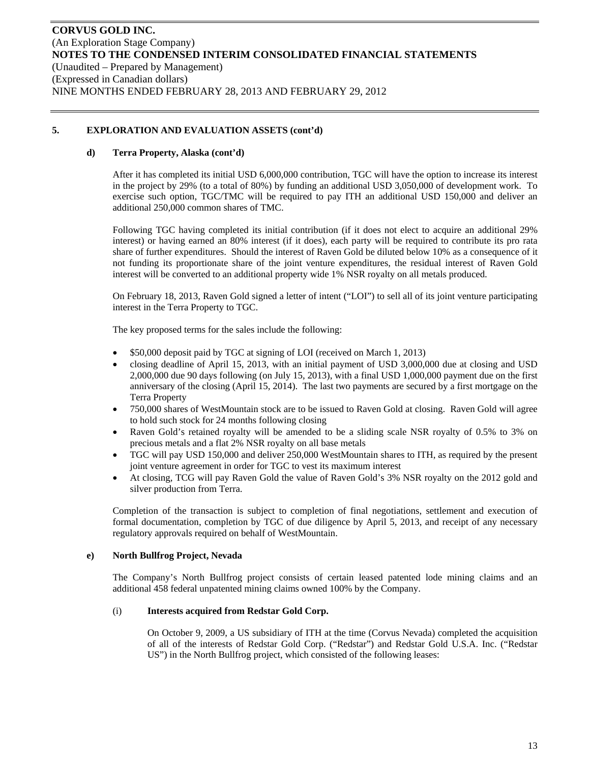#### **d) Terra Property, Alaska (cont'd)**

After it has completed its initial USD 6,000,000 contribution, TGC will have the option to increase its interest in the project by 29% (to a total of 80%) by funding an additional USD 3,050,000 of development work. To exercise such option, TGC/TMC will be required to pay ITH an additional USD 150,000 and deliver an additional 250,000 common shares of TMC.

Following TGC having completed its initial contribution (if it does not elect to acquire an additional 29% interest) or having earned an 80% interest (if it does), each party will be required to contribute its pro rata share of further expenditures. Should the interest of Raven Gold be diluted below 10% as a consequence of it not funding its proportionate share of the joint venture expenditures, the residual interest of Raven Gold interest will be converted to an additional property wide 1% NSR royalty on all metals produced.

On February 18, 2013, Raven Gold signed a letter of intent ("LOI") to sell all of its joint venture participating interest in the Terra Property to TGC.

The key proposed terms for the sales include the following:

- \$50,000 deposit paid by TGC at signing of LOI (received on March 1, 2013)
- closing deadline of April 15, 2013, with an initial payment of USD 3,000,000 due at closing and USD 2,000,000 due 90 days following (on July 15, 2013), with a final USD 1,000,000 payment due on the first anniversary of the closing (April 15, 2014). The last two payments are secured by a first mortgage on the Terra Property
- 750,000 shares of WestMountain stock are to be issued to Raven Gold at closing. Raven Gold will agree to hold such stock for 24 months following closing
- Raven Gold's retained royalty will be amended to be a sliding scale NSR royalty of 0.5% to 3% on precious metals and a flat 2% NSR royalty on all base metals
- TGC will pay USD 150,000 and deliver 250,000 WestMountain shares to ITH, as required by the present joint venture agreement in order for TGC to vest its maximum interest
- At closing, TCG will pay Raven Gold the value of Raven Gold's 3% NSR royalty on the 2012 gold and silver production from Terra.

Completion of the transaction is subject to completion of final negotiations, settlement and execution of formal documentation, completion by TGC of due diligence by April 5, 2013, and receipt of any necessary regulatory approvals required on behalf of WestMountain.

### **e) North Bullfrog Project, Nevada**

The Company's North Bullfrog project consists of certain leased patented lode mining claims and an additional 458 federal unpatented mining claims owned 100% by the Company.

#### (i) **Interests acquired from Redstar Gold Corp.**

On October 9, 2009, a US subsidiary of ITH at the time (Corvus Nevada) completed the acquisition of all of the interests of Redstar Gold Corp. ("Redstar") and Redstar Gold U.S.A. Inc. ("Redstar US") in the North Bullfrog project, which consisted of the following leases: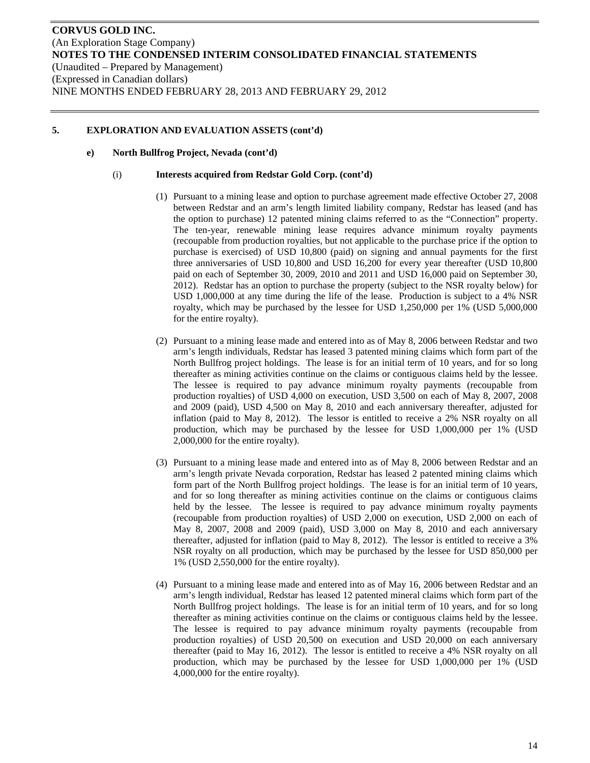#### **e) North Bullfrog Project, Nevada (cont'd)**

#### (i) **Interests acquired from Redstar Gold Corp. (cont'd)**

- (1) Pursuant to a mining lease and option to purchase agreement made effective October 27, 2008 between Redstar and an arm's length limited liability company, Redstar has leased (and has the option to purchase) 12 patented mining claims referred to as the "Connection" property. The ten-year, renewable mining lease requires advance minimum royalty payments (recoupable from production royalties, but not applicable to the purchase price if the option to purchase is exercised) of USD 10,800 (paid) on signing and annual payments for the first three anniversaries of USD 10,800 and USD 16,200 for every year thereafter (USD 10,800 paid on each of September 30, 2009, 2010 and 2011 and USD 16,000 paid on September 30, 2012). Redstar has an option to purchase the property (subject to the NSR royalty below) for USD 1,000,000 at any time during the life of the lease. Production is subject to a 4% NSR royalty, which may be purchased by the lessee for USD 1,250,000 per 1% (USD 5,000,000 for the entire royalty).
- (2) Pursuant to a mining lease made and entered into as of May 8, 2006 between Redstar and two arm's length individuals, Redstar has leased 3 patented mining claims which form part of the North Bullfrog project holdings. The lease is for an initial term of 10 years, and for so long thereafter as mining activities continue on the claims or contiguous claims held by the lessee. The lessee is required to pay advance minimum royalty payments (recoupable from production royalties) of USD 4,000 on execution, USD 3,500 on each of May 8, 2007, 2008 and 2009 (paid), USD 4,500 on May 8, 2010 and each anniversary thereafter, adjusted for inflation (paid to May 8, 2012). The lessor is entitled to receive a 2% NSR royalty on all production, which may be purchased by the lessee for USD 1,000,000 per 1% (USD 2,000,000 for the entire royalty).
- (3) Pursuant to a mining lease made and entered into as of May 8, 2006 between Redstar and an arm's length private Nevada corporation, Redstar has leased 2 patented mining claims which form part of the North Bullfrog project holdings. The lease is for an initial term of 10 years, and for so long thereafter as mining activities continue on the claims or contiguous claims held by the lessee. The lessee is required to pay advance minimum royalty payments (recoupable from production royalties) of USD 2,000 on execution, USD 2,000 on each of May 8, 2007, 2008 and 2009 (paid), USD 3,000 on May 8, 2010 and each anniversary thereafter, adjusted for inflation (paid to May 8, 2012). The lessor is entitled to receive a 3% NSR royalty on all production, which may be purchased by the lessee for USD 850,000 per 1% (USD 2,550,000 for the entire royalty).
- (4) Pursuant to a mining lease made and entered into as of May 16, 2006 between Redstar and an arm's length individual, Redstar has leased 12 patented mineral claims which form part of the North Bullfrog project holdings. The lease is for an initial term of 10 years, and for so long thereafter as mining activities continue on the claims or contiguous claims held by the lessee. The lessee is required to pay advance minimum royalty payments (recoupable from production royalties) of USD 20,500 on execution and USD 20,000 on each anniversary thereafter (paid to May 16, 2012). The lessor is entitled to receive a 4% NSR royalty on all production, which may be purchased by the lessee for USD 1,000,000 per 1% (USD 4,000,000 for the entire royalty).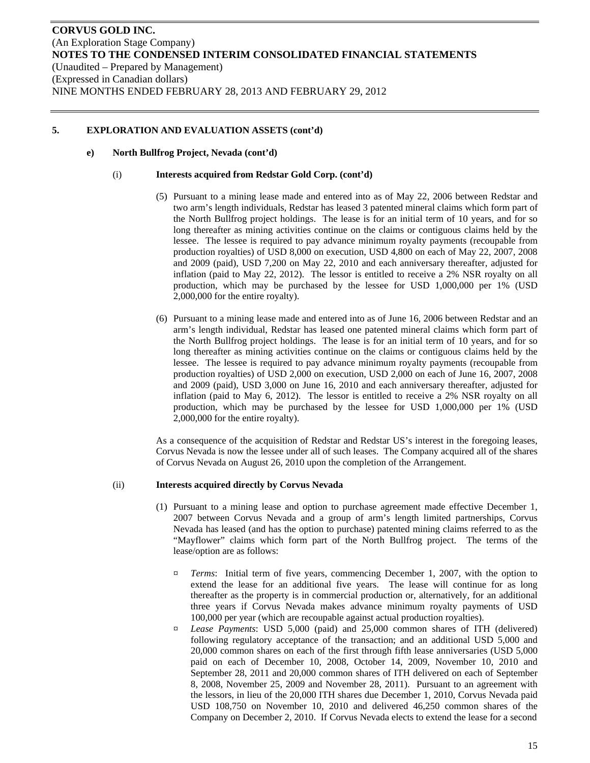#### **e) North Bullfrog Project, Nevada (cont'd)**

#### (i) **Interests acquired from Redstar Gold Corp. (cont'd)**

- (5) Pursuant to a mining lease made and entered into as of May 22, 2006 between Redstar and two arm's length individuals, Redstar has leased 3 patented mineral claims which form part of the North Bullfrog project holdings. The lease is for an initial term of 10 years, and for so long thereafter as mining activities continue on the claims or contiguous claims held by the lessee. The lessee is required to pay advance minimum royalty payments (recoupable from production royalties) of USD 8,000 on execution, USD 4,800 on each of May 22, 2007, 2008 and 2009 (paid), USD 7,200 on May 22, 2010 and each anniversary thereafter, adjusted for inflation (paid to May 22, 2012). The lessor is entitled to receive a 2% NSR royalty on all production, which may be purchased by the lessee for USD 1,000,000 per 1% (USD 2,000,000 for the entire royalty).
- (6) Pursuant to a mining lease made and entered into as of June 16, 2006 between Redstar and an arm's length individual, Redstar has leased one patented mineral claims which form part of the North Bullfrog project holdings. The lease is for an initial term of 10 years, and for so long thereafter as mining activities continue on the claims or contiguous claims held by the lessee. The lessee is required to pay advance minimum royalty payments (recoupable from production royalties) of USD 2,000 on execution, USD 2,000 on each of June 16, 2007, 2008 and 2009 (paid), USD 3,000 on June 16, 2010 and each anniversary thereafter, adjusted for inflation (paid to May 6, 2012). The lessor is entitled to receive a 2% NSR royalty on all production, which may be purchased by the lessee for USD 1,000,000 per 1% (USD 2,000,000 for the entire royalty).

As a consequence of the acquisition of Redstar and Redstar US's interest in the foregoing leases, Corvus Nevada is now the lessee under all of such leases. The Company acquired all of the shares of Corvus Nevada on August 26, 2010 upon the completion of the Arrangement.

#### (ii) **Interests acquired directly by Corvus Nevada**

- (1) Pursuant to a mining lease and option to purchase agreement made effective December 1, 2007 between Corvus Nevada and a group of arm's length limited partnerships, Corvus Nevada has leased (and has the option to purchase) patented mining claims referred to as the "Mayflower" claims which form part of the North Bullfrog project. The terms of the lease/option are as follows:
	- ¤ *Terms*: Initial term of five years, commencing December 1, 2007, with the option to extend the lease for an additional five years. The lease will continue for as long thereafter as the property is in commercial production or, alternatively, for an additional three years if Corvus Nevada makes advance minimum royalty payments of USD 100,000 per year (which are recoupable against actual production royalties).
	- ¤ *Lease Payments*: USD 5,000 (paid) and 25,000 common shares of ITH (delivered) following regulatory acceptance of the transaction; and an additional USD 5,000 and 20,000 common shares on each of the first through fifth lease anniversaries (USD 5,000 paid on each of December 10, 2008, October 14, 2009, November 10, 2010 and September 28, 2011 and 20,000 common shares of ITH delivered on each of September 8, 2008, November 25, 2009 and November 28, 2011). Pursuant to an agreement with the lessors, in lieu of the 20,000 ITH shares due December 1, 2010, Corvus Nevada paid USD 108,750 on November 10, 2010 and delivered 46,250 common shares of the Company on December 2, 2010. If Corvus Nevada elects to extend the lease for a second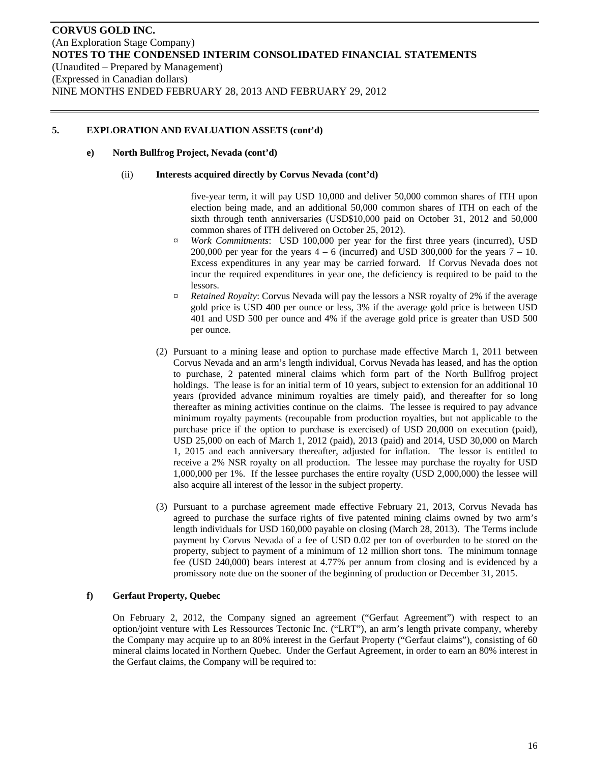#### **e) North Bullfrog Project, Nevada (cont'd)**

#### (ii) **Interests acquired directly by Corvus Nevada (cont'd)**

five-year term, it will pay USD 10,000 and deliver 50,000 common shares of ITH upon election being made, and an additional 50,000 common shares of ITH on each of the sixth through tenth anniversaries (USD\$10,000 paid on October 31, 2012 and 50,000 common shares of ITH delivered on October 25, 2012).

- ¤ *Work Commitments*: USD 100,000 per year for the first three years (incurred), USD 200,000 per year for the years  $4 - 6$  (incurred) and USD 300,000 for the years  $7 - 10$ . Excess expenditures in any year may be carried forward. If Corvus Nevada does not incur the required expenditures in year one, the deficiency is required to be paid to the lessors.
- ¤ *Retained Royalty*: Corvus Nevada will pay the lessors a NSR royalty of 2% if the average gold price is USD 400 per ounce or less, 3% if the average gold price is between USD 401 and USD 500 per ounce and 4% if the average gold price is greater than USD 500 per ounce.
- (2) Pursuant to a mining lease and option to purchase made effective March 1, 2011 between Corvus Nevada and an arm's length individual, Corvus Nevada has leased, and has the option to purchase, 2 patented mineral claims which form part of the North Bullfrog project holdings. The lease is for an initial term of 10 years, subject to extension for an additional 10 years (provided advance minimum royalties are timely paid), and thereafter for so long thereafter as mining activities continue on the claims. The lessee is required to pay advance minimum royalty payments (recoupable from production royalties, but not applicable to the purchase price if the option to purchase is exercised) of USD 20,000 on execution (paid), USD 25,000 on each of March 1, 2012 (paid), 2013 (paid) and 2014, USD 30,000 on March 1, 2015 and each anniversary thereafter, adjusted for inflation. The lessor is entitled to receive a 2% NSR royalty on all production. The lessee may purchase the royalty for USD 1,000,000 per 1%. If the lessee purchases the entire royalty (USD 2,000,000) the lessee will also acquire all interest of the lessor in the subject property.
- (3) Pursuant to a purchase agreement made effective February 21, 2013, Corvus Nevada has agreed to purchase the surface rights of five patented mining claims owned by two arm's length individuals for USD 160,000 payable on closing (March 28, 2013). The Terms include payment by Corvus Nevada of a fee of USD 0.02 per ton of overburden to be stored on the property, subject to payment of a minimum of 12 million short tons. The minimum tonnage fee (USD 240,000) bears interest at 4.77% per annum from closing and is evidenced by a promissory note due on the sooner of the beginning of production or December 31, 2015.

### **f) Gerfaut Property, Quebec**

On February 2, 2012, the Company signed an agreement ("Gerfaut Agreement") with respect to an option/joint venture with Les Ressources Tectonic Inc. ("LRT"), an arm's length private company, whereby the Company may acquire up to an 80% interest in the Gerfaut Property ("Gerfaut claims"), consisting of 60 mineral claims located in Northern Quebec. Under the Gerfaut Agreement, in order to earn an 80% interest in the Gerfaut claims, the Company will be required to: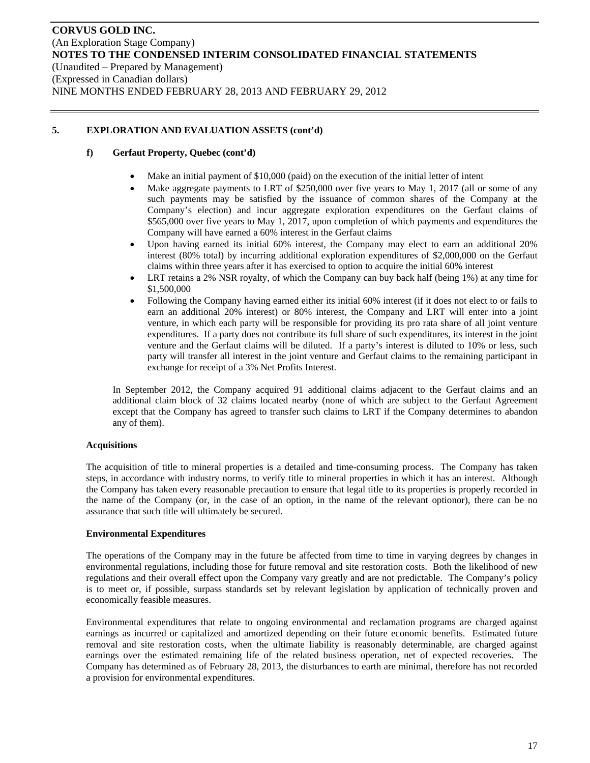### **f) Gerfaut Property, Quebec (cont'd)**

- Make an initial payment of \$10,000 (paid) on the execution of the initial letter of intent
- Make aggregate payments to LRT of \$250,000 over five years to May 1, 2017 (all or some of any such payments may be satisfied by the issuance of common shares of the Company at the Company's election) and incur aggregate exploration expenditures on the Gerfaut claims of \$565,000 over five years to May 1, 2017, upon completion of which payments and expenditures the Company will have earned a 60% interest in the Gerfaut claims
- Upon having earned its initial 60% interest, the Company may elect to earn an additional 20% interest (80% total) by incurring additional exploration expenditures of \$2,000,000 on the Gerfaut claims within three years after it has exercised to option to acquire the initial 60% interest
- LRT retains a 2% NSR royalty, of which the Company can buy back half (being 1%) at any time for \$1,500,000
- Following the Company having earned either its initial 60% interest (if it does not elect to or fails to earn an additional 20% interest) or 80% interest, the Company and LRT will enter into a joint venture, in which each party will be responsible for providing its pro rata share of all joint venture expenditures. If a party does not contribute its full share of such expenditures, its interest in the joint venture and the Gerfaut claims will be diluted. If a party's interest is diluted to 10% or less, such party will transfer all interest in the joint venture and Gerfaut claims to the remaining participant in exchange for receipt of a 3% Net Profits Interest.

In September 2012, the Company acquired 91 additional claims adjacent to the Gerfaut claims and an additional claim block of 32 claims located nearby (none of which are subject to the Gerfaut Agreement except that the Company has agreed to transfer such claims to LRT if the Company determines to abandon any of them).

### **Acquisitions**

The acquisition of title to mineral properties is a detailed and time-consuming process. The Company has taken steps, in accordance with industry norms, to verify title to mineral properties in which it has an interest. Although the Company has taken every reasonable precaution to ensure that legal title to its properties is properly recorded in the name of the Company (or, in the case of an option, in the name of the relevant optionor), there can be no assurance that such title will ultimately be secured.

### **Environmental Expenditures**

The operations of the Company may in the future be affected from time to time in varying degrees by changes in environmental regulations, including those for future removal and site restoration costs. Both the likelihood of new regulations and their overall effect upon the Company vary greatly and are not predictable. The Company's policy is to meet or, if possible, surpass standards set by relevant legislation by application of technically proven and economically feasible measures.

Environmental expenditures that relate to ongoing environmental and reclamation programs are charged against earnings as incurred or capitalized and amortized depending on their future economic benefits. Estimated future removal and site restoration costs, when the ultimate liability is reasonably determinable, are charged against earnings over the estimated remaining life of the related business operation, net of expected recoveries. The Company has determined as of February 28, 2013, the disturbances to earth are minimal, therefore has not recorded a provision for environmental expenditures.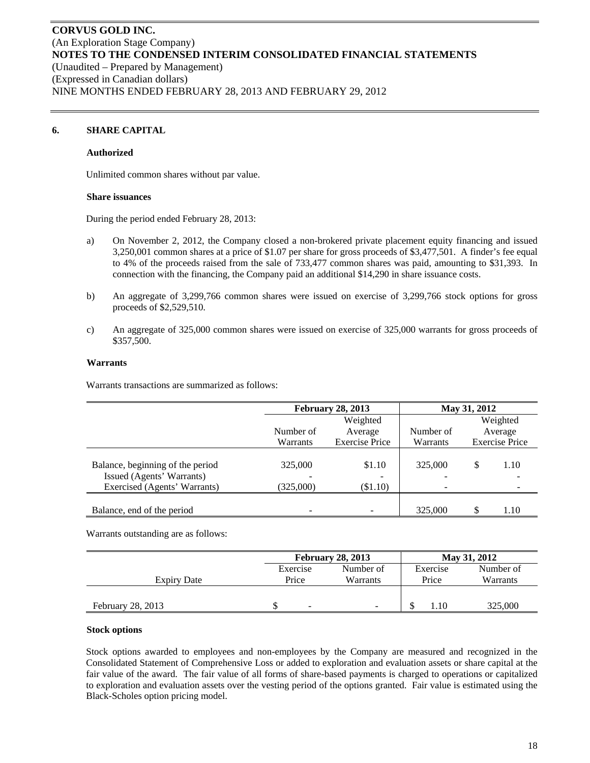### **6. SHARE CAPITAL**

#### **Authorized**

Unlimited common shares without par value.

#### **Share issuances**

During the period ended February 28, 2013:

- a) On November 2, 2012, the Company closed a non-brokered private placement equity financing and issued 3,250,001 common shares at a price of \$1.07 per share for gross proceeds of \$3,477,501. A finder's fee equal to 4% of the proceeds raised from the sale of 733,477 common shares was paid, amounting to \$31,393. In connection with the financing, the Company paid an additional \$14,290 in share issuance costs.
- b) An aggregate of 3,299,766 common shares were issued on exercise of 3,299,766 stock options for gross proceeds of \$2,529,510.
- c) An aggregate of 325,000 common shares were issued on exercise of 325,000 warrants for gross proceeds of \$357,500.

#### **Warrants**

Warrants transactions are summarized as follows:

|                                                               |           | <b>February 28, 2013</b> | May 31, 2012                        |    |                       |
|---------------------------------------------------------------|-----------|--------------------------|-------------------------------------|----|-----------------------|
|                                                               |           | Weighted                 |                                     |    | Weighted              |
|                                                               | Number of | Average                  | Number of                           |    | Average               |
|                                                               | Warrants  | <b>Exercise Price</b>    | Warrants                            |    | <b>Exercise Price</b> |
| Balance, beginning of the period<br>Issued (Agents' Warrants) | 325,000   | \$1.10                   | 325,000<br>$\overline{\phantom{0}}$ | \$ | 1.10                  |
| Exercised (Agents' Warrants)                                  | (325,000) | $(\$1.10)$               | $\overline{\phantom{0}}$            |    |                       |
| Balance, end of the period                                    |           |                          | 325,000                             |    | 1.10                  |

Warrants outstanding are as follows:

|                    |          | <b>February 28, 2013</b> |          | May 31, 2012 |
|--------------------|----------|--------------------------|----------|--------------|
|                    | Exercise | Number of                | Exercise | Number of    |
| <b>Expiry Date</b> | Price    | Warrants                 | Price    | Warrants     |
|                    |          |                          |          |              |
| February 28, 2013  | ۰        |                          | 1.10     | 325,000      |

#### **Stock options**

Stock options awarded to employees and non-employees by the Company are measured and recognized in the Consolidated Statement of Comprehensive Loss or added to exploration and evaluation assets or share capital at the fair value of the award. The fair value of all forms of share-based payments is charged to operations or capitalized to exploration and evaluation assets over the vesting period of the options granted. Fair value is estimated using the Black-Scholes option pricing model.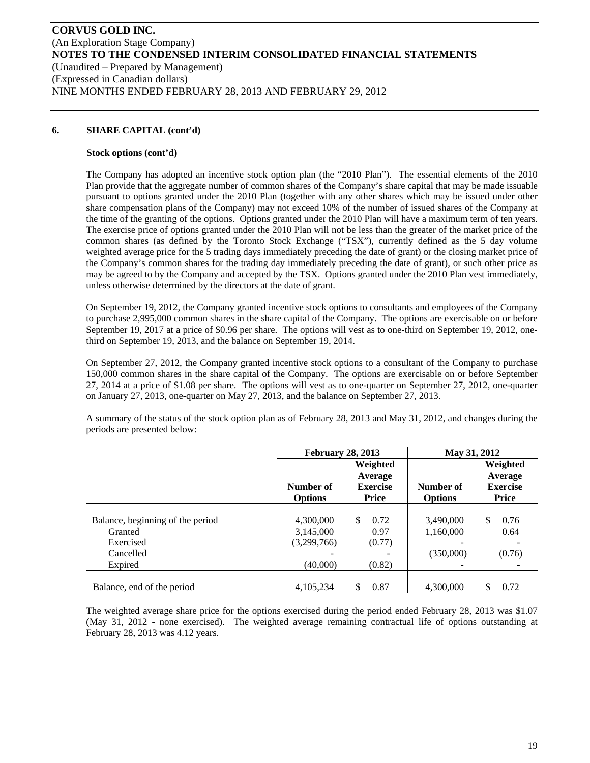### **6. SHARE CAPITAL (cont'd)**

#### **Stock options (cont'd)**

The Company has adopted an incentive stock option plan (the "2010 Plan"). The essential elements of the 2010 Plan provide that the aggregate number of common shares of the Company's share capital that may be made issuable pursuant to options granted under the 2010 Plan (together with any other shares which may be issued under other share compensation plans of the Company) may not exceed 10% of the number of issued shares of the Company at the time of the granting of the options. Options granted under the 2010 Plan will have a maximum term of ten years. The exercise price of options granted under the 2010 Plan will not be less than the greater of the market price of the common shares (as defined by the Toronto Stock Exchange ("TSX"), currently defined as the 5 day volume weighted average price for the 5 trading days immediately preceding the date of grant) or the closing market price of the Company's common shares for the trading day immediately preceding the date of grant), or such other price as may be agreed to by the Company and accepted by the TSX. Options granted under the 2010 Plan vest immediately, unless otherwise determined by the directors at the date of grant.

On September 19, 2012, the Company granted incentive stock options to consultants and employees of the Company to purchase 2,995,000 common shares in the share capital of the Company. The options are exercisable on or before September 19, 2017 at a price of \$0.96 per share. The options will vest as to one-third on September 19, 2012, onethird on September 19, 2013, and the balance on September 19, 2014.

On September 27, 2012, the Company granted incentive stock options to a consultant of the Company to purchase 150,000 common shares in the share capital of the Company. The options are exercisable on or before September 27, 2014 at a price of \$1.08 per share. The options will vest as to one-quarter on September 27, 2012, one-quarter on January 27, 2013, one-quarter on May 27, 2013, and the balance on September 27, 2013.

A summary of the status of the stock option plan as of February 28, 2013 and May 31, 2012, and changes during the periods are presented below:

|                                  | <b>February 28, 2013</b>    |                                                        | May 31, 2012                |                                                        |  |  |
|----------------------------------|-----------------------------|--------------------------------------------------------|-----------------------------|--------------------------------------------------------|--|--|
|                                  | Number of<br><b>Options</b> | Weighted<br>Average<br><b>Exercise</b><br><b>Price</b> | Number of<br><b>Options</b> | Weighted<br>Average<br><b>Exercise</b><br><b>Price</b> |  |  |
| Balance, beginning of the period | 4,300,000                   | \$.<br>0.72                                            | 3,490,000                   | \$<br>0.76                                             |  |  |
| Granted                          | 3,145,000                   | 0.97                                                   | 1,160,000                   | 0.64                                                   |  |  |
| Exercised                        | (3,299,766)                 | (0.77)                                                 |                             |                                                        |  |  |
| Cancelled                        |                             |                                                        | (350,000)                   | (0.76)                                                 |  |  |
| Expired                          | (40,000)                    | (0.82)                                                 |                             |                                                        |  |  |
|                                  |                             |                                                        |                             |                                                        |  |  |
| Balance, end of the period       | 4.105.234                   | 0.87<br>S                                              | 4.300,000                   | \$<br>0.72                                             |  |  |

The weighted average share price for the options exercised during the period ended February 28, 2013 was \$1.07 (May 31, 2012 - none exercised). The weighted average remaining contractual life of options outstanding at February 28, 2013 was 4.12 years.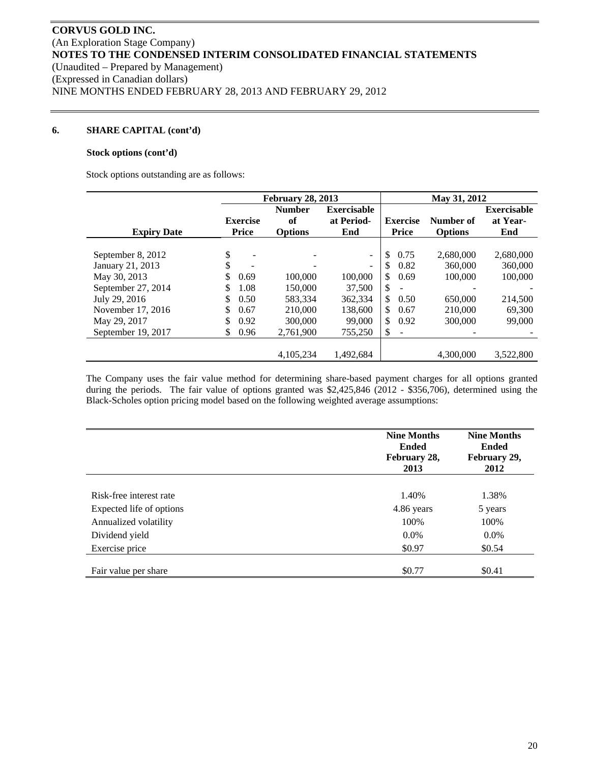### **6. SHARE CAPITAL (cont'd)**

#### **Stock options (cont'd)**

Stock options outstanding are as follows:

|                    |                 | <b>February 28, 2013</b>            |                          |                                | May 31, 2012   |                    |
|--------------------|-----------------|-------------------------------------|--------------------------|--------------------------------|----------------|--------------------|
|                    |                 | <b>Number</b><br><b>Exercisable</b> |                          |                                |                | <b>Exercisable</b> |
|                    | <b>Exercise</b> | of                                  | at Period-               | <b>Exercise</b>                | Number of      | at Year-           |
| <b>Expiry Date</b> | <b>Price</b>    | <b>Options</b>                      | End                      | <b>Price</b>                   | <b>Options</b> | End                |
|                    |                 |                                     |                          |                                |                |                    |
| September 8, 2012  | \$              |                                     | $\blacksquare$           | $\mathbb{S}$<br>0.75           | 2.680,000      | 2,680,000          |
| January 21, 2013   | \$              |                                     | $\overline{\phantom{a}}$ | \$<br>0.82                     | 360,000        | 360,000            |
| May 30, 2013       | \$<br>0.69      | 100,000                             | 100,000                  | \$<br>0.69                     | 100,000        | 100,000            |
| September 27, 2014 | \$<br>1.08      | 150,000                             | 37,500                   | \$.<br>۰                       |                |                    |
| July 29, 2016      | \$<br>0.50      | 583,334                             | 362,334                  | \$<br>0.50                     | 650,000        | 214,500            |
| November 17, 2016  | \$<br>0.67      | 210,000                             | 138,600                  | \$.<br>0.67                    | 210,000        | 69,300             |
| May 29, 2017       | \$<br>0.92      | 300,000                             | 99,000                   | \$<br>0.92                     | 300,000        | 99,000             |
| September 19, 2017 | S<br>0.96       | 2,761,900                           | 755,250                  | \$<br>$\overline{\phantom{a}}$ |                |                    |
|                    |                 |                                     |                          |                                |                |                    |
|                    |                 | 4.105.234                           | 1.492.684                |                                | 4.300,000      | 3.522,800          |

The Company uses the fair value method for determining share-based payment charges for all options granted during the periods. The fair value of options granted was \$2,425,846 (2012 - \$356,706), determined using the Black-Scholes option pricing model based on the following weighted average assumptions:

|                          | <b>Nine Months</b><br><b>Ended</b><br>February 28,<br>2013 | <b>Nine Months</b><br><b>Ended</b><br>February 29,<br>2012 |
|--------------------------|------------------------------------------------------------|------------------------------------------------------------|
|                          |                                                            |                                                            |
| Risk-free interest rate  | 1.40%                                                      | 1.38%                                                      |
| Expected life of options | 4.86 years                                                 | 5 years                                                    |
| Annualized volatility    | 100%                                                       | 100%                                                       |
| Dividend yield           | $0.0\%$                                                    | $0.0\%$                                                    |
| Exercise price           | \$0.97                                                     | \$0.54                                                     |
|                          |                                                            |                                                            |
| Fair value per share     | \$0.77                                                     | \$0.41                                                     |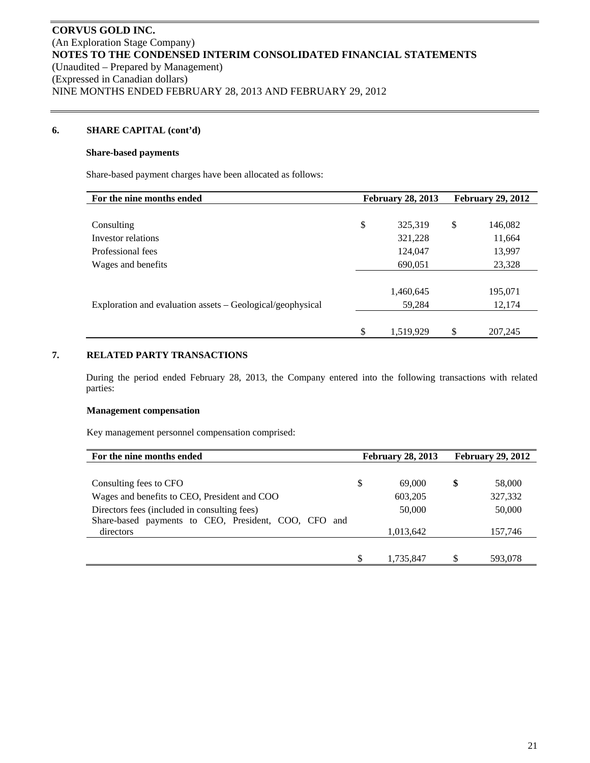### **6. SHARE CAPITAL (cont'd)**

#### **Share-based payments**

Share-based payment charges have been allocated as follows:

| For the nine months ended                                  | <b>February 28, 2013</b> |           | <b>February 29, 2012</b> |         |  |
|------------------------------------------------------------|--------------------------|-----------|--------------------------|---------|--|
|                                                            |                          |           |                          |         |  |
| Consulting                                                 | \$                       | 325,319   | \$                       | 146,082 |  |
| Investor relations                                         |                          | 321,228   |                          | 11,664  |  |
| Professional fees                                          |                          | 124,047   |                          | 13,997  |  |
| Wages and benefits                                         |                          | 690,051   |                          | 23,328  |  |
|                                                            |                          |           |                          |         |  |
|                                                            |                          | 1,460,645 |                          | 195,071 |  |
| Exploration and evaluation assets – Geological/geophysical |                          | 59,284    |                          | 12,174  |  |
|                                                            |                          |           |                          |         |  |
|                                                            | \$                       | 1,519,929 | \$                       | 207,245 |  |

# **7. RELATED PARTY TRANSACTIONS**

During the period ended February 28, 2013, the Company entered into the following transactions with related parties:

### **Management compensation**

Key management personnel compensation comprised:

| For the nine months ended                               |  | <b>February 28, 2013</b> |  | <b>February 29, 2012</b> |  |
|---------------------------------------------------------|--|--------------------------|--|--------------------------|--|
|                                                         |  |                          |  |                          |  |
| Consulting fees to CFO                                  |  | 69,000                   |  | 58,000                   |  |
| Wages and benefits to CEO, President and COO            |  | 603,205                  |  | 327,332                  |  |
| Directors fees (included in consulting fees)            |  | 50,000                   |  | 50,000                   |  |
| Share-based payments to CEO, President, COO, CFO<br>and |  |                          |  |                          |  |
| directors                                               |  | 1,013,642                |  | 157,746                  |  |
|                                                         |  |                          |  |                          |  |
|                                                         |  | 1,735,847                |  | 593,078                  |  |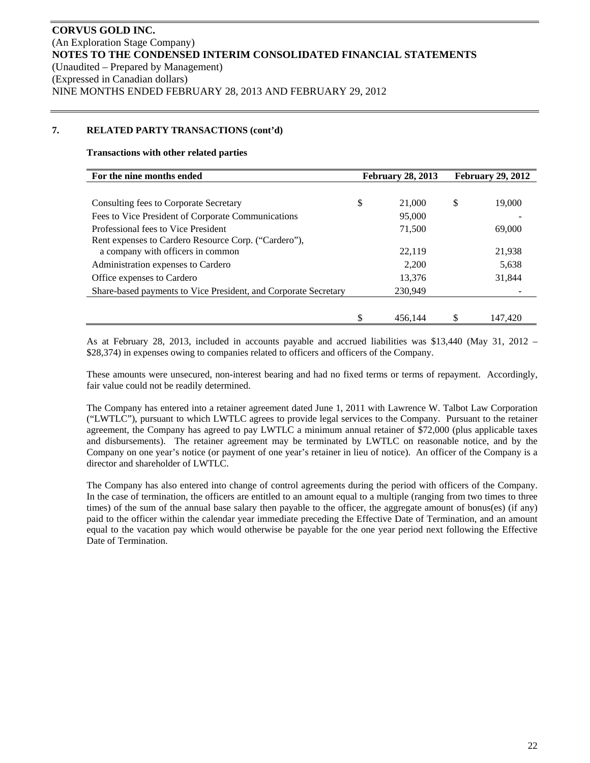### **7. RELATED PARTY TRANSACTIONS (cont'd)**

#### **Transactions with other related parties**

| For the nine months ended                                       | <b>February 28, 2013</b> |         | <b>February 29, 2012</b> |         |
|-----------------------------------------------------------------|--------------------------|---------|--------------------------|---------|
|                                                                 |                          |         |                          |         |
| Consulting fees to Corporate Secretary                          | \$                       | 21,000  | \$                       | 19,000  |
| Fees to Vice President of Corporate Communications              |                          | 95,000  |                          |         |
| Professional fees to Vice President                             |                          | 71,500  |                          | 69,000  |
| Rent expenses to Cardero Resource Corp. ("Cardero"),            |                          |         |                          |         |
| a company with officers in common                               |                          | 22.119  |                          | 21.938  |
| Administration expenses to Cardero                              |                          | 2,200   |                          | 5,638   |
| Office expenses to Cardero                                      |                          | 13.376  |                          | 31.844  |
| Share-based payments to Vice President, and Corporate Secretary |                          | 230.949 |                          |         |
|                                                                 |                          |         |                          |         |
|                                                                 |                          | 456,144 |                          | 147,420 |

As at February 28, 2013, included in accounts payable and accrued liabilities was \$13,440 (May 31, 2012 – \$28,374) in expenses owing to companies related to officers and officers of the Company.

These amounts were unsecured, non-interest bearing and had no fixed terms or terms of repayment. Accordingly, fair value could not be readily determined.

The Company has entered into a retainer agreement dated June 1, 2011 with Lawrence W. Talbot Law Corporation ("LWTLC"), pursuant to which LWTLC agrees to provide legal services to the Company. Pursuant to the retainer agreement, the Company has agreed to pay LWTLC a minimum annual retainer of \$72,000 (plus applicable taxes and disbursements). The retainer agreement may be terminated by LWTLC on reasonable notice, and by the Company on one year's notice (or payment of one year's retainer in lieu of notice). An officer of the Company is a director and shareholder of LWTLC.

The Company has also entered into change of control agreements during the period with officers of the Company. In the case of termination, the officers are entitled to an amount equal to a multiple (ranging from two times to three times) of the sum of the annual base salary then payable to the officer, the aggregate amount of bonus(es) (if any) paid to the officer within the calendar year immediate preceding the Effective Date of Termination, and an amount equal to the vacation pay which would otherwise be payable for the one year period next following the Effective Date of Termination.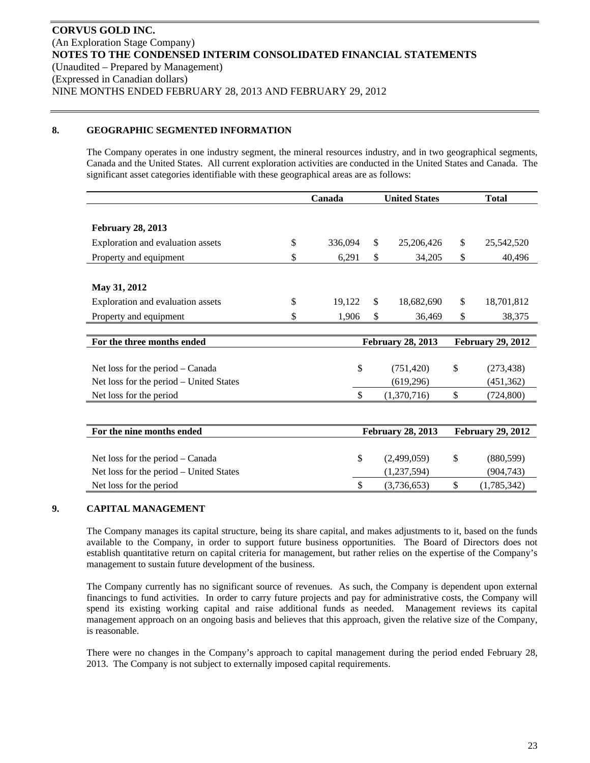### **8. GEOGRAPHIC SEGMENTED INFORMATION**

The Company operates in one industry segment, the mineral resources industry, and in two geographical segments, Canada and the United States. All current exploration activities are conducted in the United States and Canada. The significant asset categories identifiable with these geographical areas are as follows:

|                                         | Canada        | <b>United States</b>     |                          | <b>Total</b>             |                          |
|-----------------------------------------|---------------|--------------------------|--------------------------|--------------------------|--------------------------|
|                                         |               |                          |                          |                          |                          |
| <b>February 28, 2013</b>                |               |                          |                          |                          |                          |
| Exploration and evaluation assets       | \$<br>336,094 | \$                       | 25,206,426               | \$                       | 25,542,520               |
| Property and equipment                  | \$<br>6,291   | \$                       | 34,205                   | \$                       | 40,496                   |
|                                         |               |                          |                          |                          |                          |
| May 31, 2012                            |               |                          |                          |                          |                          |
| Exploration and evaluation assets       | \$<br>19,122  | \$.                      | 18,682,690               | \$                       | 18,701,812               |
| Property and equipment                  | \$<br>1,906   | \$                       | 36,469                   | \$                       | 38,375                   |
|                                         |               |                          |                          |                          |                          |
| For the three months ended              |               | <b>February 28, 2013</b> |                          | <b>February 29, 2012</b> |                          |
|                                         |               |                          |                          |                          |                          |
|                                         |               |                          |                          |                          |                          |
| Net loss for the period – Canada        | \$            |                          | (751, 420)               | \$                       | (273, 438)               |
| Net loss for the period – United States |               |                          | (619, 296)               |                          | (451, 362)               |
| Net loss for the period                 | \$            |                          | (1,370,716)              | \$                       | (724, 800)               |
|                                         |               |                          |                          |                          |                          |
| For the nine months ended               |               |                          | <b>February 28, 2013</b> |                          | <b>February 29, 2012</b> |
|                                         |               |                          |                          |                          |                          |
| Net loss for the period – Canada        | \$            |                          | (2,499,059)              | \$                       | (880, 599)               |

### **9. CAPITAL MANAGEMENT**

The Company manages its capital structure, being its share capital, and makes adjustments to it, based on the funds available to the Company, in order to support future business opportunities. The Board of Directors does not establish quantitative return on capital criteria for management, but rather relies on the expertise of the Company's management to sustain future development of the business.

Net loss for the period  $\frac{1}{3}$  (3,736,653)  $\frac{1}{3}$  (1,785,342)

The Company currently has no significant source of revenues. As such, the Company is dependent upon external financings to fund activities. In order to carry future projects and pay for administrative costs, the Company will spend its existing working capital and raise additional funds as needed. Management reviews its capital management approach on an ongoing basis and believes that this approach, given the relative size of the Company, is reasonable.

There were no changes in the Company's approach to capital management during the period ended February 28, 2013. The Company is not subject to externally imposed capital requirements.